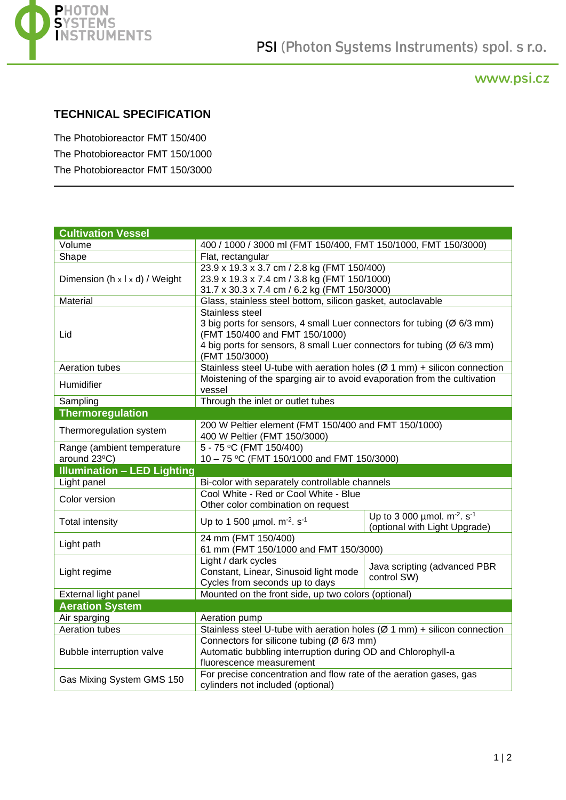

## www.psi.cz

## **TECHNICAL SPECIFICATION**

The Photobioreactor FMT 150/400 The Photobioreactor FMT 150/1000 The Photobioreactor FMT 150/3000

| <b>Cultivation Vessel</b>          |                                                                              |                                                          |  |
|------------------------------------|------------------------------------------------------------------------------|----------------------------------------------------------|--|
| Volume                             | 400 / 1000 / 3000 ml (FMT 150/400, FMT 150/1000, FMT 150/3000)               |                                                          |  |
| Shape                              | Flat, rectangular                                                            |                                                          |  |
| Dimension (h x l x d) / Weight     | 23.9 x 19.3 x 3.7 cm / 2.8 kg (FMT 150/400)                                  |                                                          |  |
|                                    | 23.9 x 19.3 x 7.4 cm / 3.8 kg (FMT 150/1000)                                 |                                                          |  |
|                                    | 31.7 x 30.3 x 7.4 cm / 6.2 kg (FMT 150/3000)                                 |                                                          |  |
| Material                           | Glass, stainless steel bottom, silicon gasket, autoclavable                  |                                                          |  |
| Lid                                | Stainless steel                                                              |                                                          |  |
|                                    | 3 big ports for sensors, 4 small Luer connectors for tubing (Ø 6/3 mm)       |                                                          |  |
|                                    | (FMT 150/400 and FMT 150/1000)                                               |                                                          |  |
|                                    | 4 big ports for sensors, 8 small Luer connectors for tubing (Ø 6/3 mm)       |                                                          |  |
|                                    | (FMT 150/3000)                                                               |                                                          |  |
| Aeration tubes                     | Stainless steel U-tube with aeration holes ( $Ø 1 mm$ ) + silicon connection |                                                          |  |
| Humidifier                         | Moistening of the sparging air to avoid evaporation from the cultivation     |                                                          |  |
|                                    | vessel                                                                       |                                                          |  |
| Sampling                           | Through the inlet or outlet tubes                                            |                                                          |  |
| <b>Thermoregulation</b>            |                                                                              |                                                          |  |
| Thermoregulation system            | 200 W Peltier element (FMT 150/400 and FMT 150/1000)                         |                                                          |  |
|                                    | 400 W Peltier (FMT 150/3000)                                                 |                                                          |  |
| Range (ambient temperature         | $5 - 75$ °C (FMT 150/400)                                                    |                                                          |  |
| around 23°C)                       | 10 - 75 °C (FMT 150/1000 and FMT 150/3000)                                   |                                                          |  |
| <b>Illumination - LED Lighting</b> |                                                                              |                                                          |  |
| Light panel                        | Bi-color with separately controllable channels                               |                                                          |  |
| Color version                      | Cool White - Red or Cool White - Blue                                        |                                                          |  |
|                                    | Other color combination on request                                           |                                                          |  |
| <b>Total intensity</b>             | Up to 1 500 µmol. $m^{-2}$ . s <sup>-1</sup>                                 | Up to 3 000 $\mu$ mol. m <sup>-2</sup> . s <sup>-1</sup> |  |
|                                    |                                                                              | (optional with Light Upgrade)                            |  |
| Light path                         | 24 mm (FMT 150/400)                                                          |                                                          |  |
|                                    | 61 mm (FMT 150/1000 and FMT 150/3000)                                        |                                                          |  |
| Light regime                       | Light / dark cycles                                                          | Java scripting (advanced PBR                             |  |
|                                    | Constant, Linear, Sinusoid light mode                                        | control SW)                                              |  |
|                                    | Cycles from seconds up to days                                               |                                                          |  |
| External light panel               | Mounted on the front side, up two colors (optional)                          |                                                          |  |
| <b>Aeration System</b>             |                                                                              |                                                          |  |
| Air sparging                       | Aeration pump                                                                |                                                          |  |
| Aeration tubes                     | Stainless steel U-tube with aeration holes ( $Ø$ 1 mm) + silicon connection  |                                                          |  |
| Bubble interruption valve          | Connectors for silicone tubing (Ø 6/3 mm)                                    |                                                          |  |
|                                    | Automatic bubbling interruption during OD and Chlorophyll-a                  |                                                          |  |
|                                    | fluorescence measurement                                                     |                                                          |  |
| Gas Mixing System GMS 150          | For precise concentration and flow rate of the aeration gases, gas           |                                                          |  |
|                                    | cylinders not included (optional)                                            |                                                          |  |